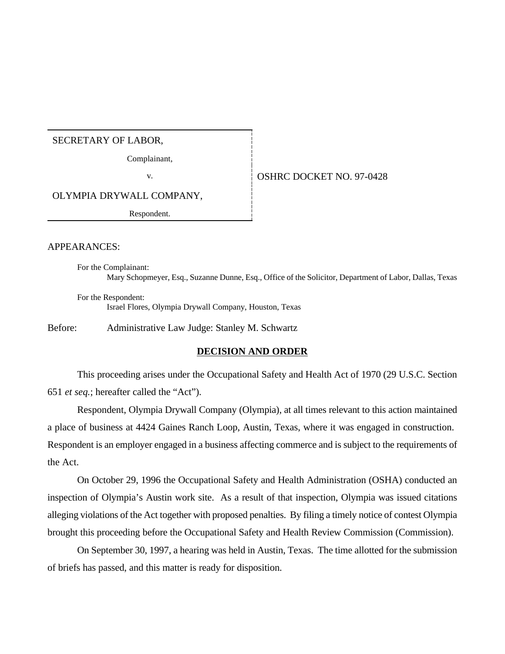#### SECRETARY OF LABOR,

Complainant,

v. 6 0SHRC DOCKET NO. 97-0428

OLYMPIA DRYWALL COMPANY,

Respondent.

#### APPEARANCES:

For the Complainant: Mary Schopmeyer, Esq., Suzanne Dunne, Esq., Office of the Solicitor, Department of Labor, Dallas, Texas

For the Respondent: Israel Flores, Olympia Drywall Company, Houston, Texas

Before: Administrative Law Judge: Stanley M. Schwartz

### **DECISION AND ORDER**

This proceeding arises under the Occupational Safety and Health Act of 1970 (29 U.S.C. Section 651 *et seq.*; hereafter called the "Act").

Respondent, Olympia Drywall Company (Olympia), at all times relevant to this action maintained a place of business at 4424 Gaines Ranch Loop, Austin, Texas, where it was engaged in construction. Respondent is an employer engaged in a business affecting commerce and is subject to the requirements of the Act.

On October 29, 1996 the Occupational Safety and Health Administration (OSHA) conducted an inspection of Olympia's Austin work site. As a result of that inspection, Olympia was issued citations alleging violations of the Act together with proposed penalties. By filing a timely notice of contest Olympia brought this proceeding before the Occupational Safety and Health Review Commission (Commission).

On September 30, 1997, a hearing was held in Austin, Texas. The time allotted for the submission of briefs has passed, and this matter is ready for disposition.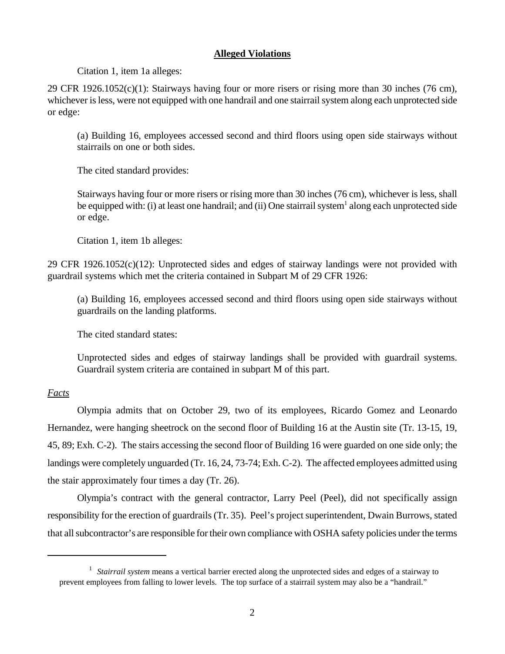## **Alleged Violations**

Citation 1, item 1a alleges:

29 CFR 1926.1052(c)(1): Stairways having four or more risers or rising more than 30 inches (76 cm), whichever is less, were not equipped with one handrail and one stairrail system along each unprotected side or edge:

(a) Building 16, employees accessed second and third floors using open side stairways without stairrails on one or both sides.

The cited standard provides:

Stairways having four or more risers or rising more than 30 inches (76 cm), whichever is less, shall be equipped with: (i) at least one handrail; and (ii) One stairrail system<sup>1</sup> along each unprotected side or edge.

Citation 1, item 1b alleges:

29 CFR 1926.1052(c)(12): Unprotected sides and edges of stairway landings were not provided with guardrail systems which met the criteria contained in Subpart M of 29 CFR 1926:

(a) Building 16, employees accessed second and third floors using open side stairways without guardrails on the landing platforms.

The cited standard states:

Unprotected sides and edges of stairway landings shall be provided with guardrail systems. Guardrail system criteria are contained in subpart M of this part.

# *Facts*

Olympia admits that on October 29, two of its employees, Ricardo Gomez and Leonardo Hernandez, were hanging sheetrock on the second floor of Building 16 at the Austin site (Tr. 13-15, 19, 45, 89; Exh. C-2). The stairs accessing the second floor of Building 16 were guarded on one side only; the landings were completely unguarded (Tr. 16, 24, 73-74; Exh. C-2). The affected employees admitted using the stair approximately four times a day (Tr. 26).

Olympia's contract with the general contractor, Larry Peel (Peel), did not specifically assign responsibility for the erection of guardrails (Tr. 35). Peel's project superintendent, Dwain Burrows, stated that all subcontractor's are responsible for their own compliance with OSHA safety policies under the terms

<sup>&</sup>lt;sup>1</sup> Stairrail system means a vertical barrier erected along the unprotected sides and edges of a stairway to prevent employees from falling to lower levels. The top surface of a stairrail system may also be a "handrail."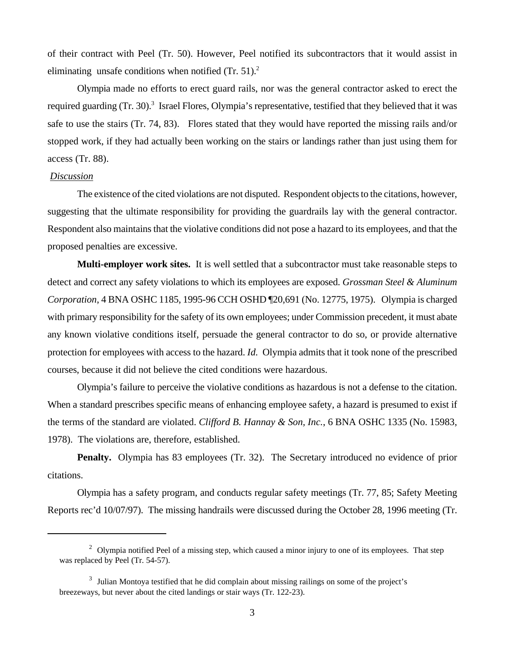of their contract with Peel (Tr. 50). However, Peel notified its subcontractors that it would assist in eliminating unsafe conditions when notified  $(Tr. 51)<sup>2</sup>$ 

Olympia made no efforts to erect guard rails, nor was the general contractor asked to erect the required guarding (Tr. 30).<sup>3</sup> Israel Flores, Olympia's representative, testified that they believed that it was safe to use the stairs (Tr. 74, 83). Flores stated that they would have reported the missing rails and/or stopped work, if they had actually been working on the stairs or landings rather than just using them for access (Tr. 88).

### *Discussion*

The existence of the cited violations are not disputed. Respondent objects to the citations, however, suggesting that the ultimate responsibility for providing the guardrails lay with the general contractor. Respondent also maintains that the violative conditions did not pose a hazard to its employees, and that the proposed penalties are excessive.

**Multi-employer work sites.** It is well settled that a subcontractor must take reasonable steps to detect and correct any safety violations to which its employees are exposed. *Grossman Steel & Aluminum Corporation*, 4 BNA OSHC 1185, 1995-96 CCH OSHD ¶20,691 (No. 12775, 1975). Olympia is charged with primary responsibility for the safety of its own employees; under Commission precedent, it must abate any known violative conditions itself, persuade the general contractor to do so, or provide alternative protection for employees with access to the hazard. *Id.* Olympia admits that it took none of the prescribed courses, because it did not believe the cited conditions were hazardous.

Olympia's failure to perceive the violative conditions as hazardous is not a defense to the citation. When a standard prescribes specific means of enhancing employee safety, a hazard is presumed to exist if the terms of the standard are violated. *Clifford B. Hannay & Son, Inc.*, 6 BNA OSHC 1335 (No. 15983, 1978). The violations are, therefore, established.

**Penalty.** Olympia has 83 employees (Tr. 32). The Secretary introduced no evidence of prior citations.

Olympia has a safety program, and conducts regular safety meetings (Tr. 77, 85; Safety Meeting Reports rec'd 10/07/97). The missing handrails were discussed during the October 28, 1996 meeting (Tr.

 $2$  Olympia notified Peel of a missing step, which caused a minor injury to one of its employees. That step was replaced by Peel (Tr. 54-57).

<sup>&</sup>lt;sup>3</sup> Julian Montoya testified that he did complain about missing railings on some of the project's breezeways, but never about the cited landings or stair ways (Tr. 122-23).